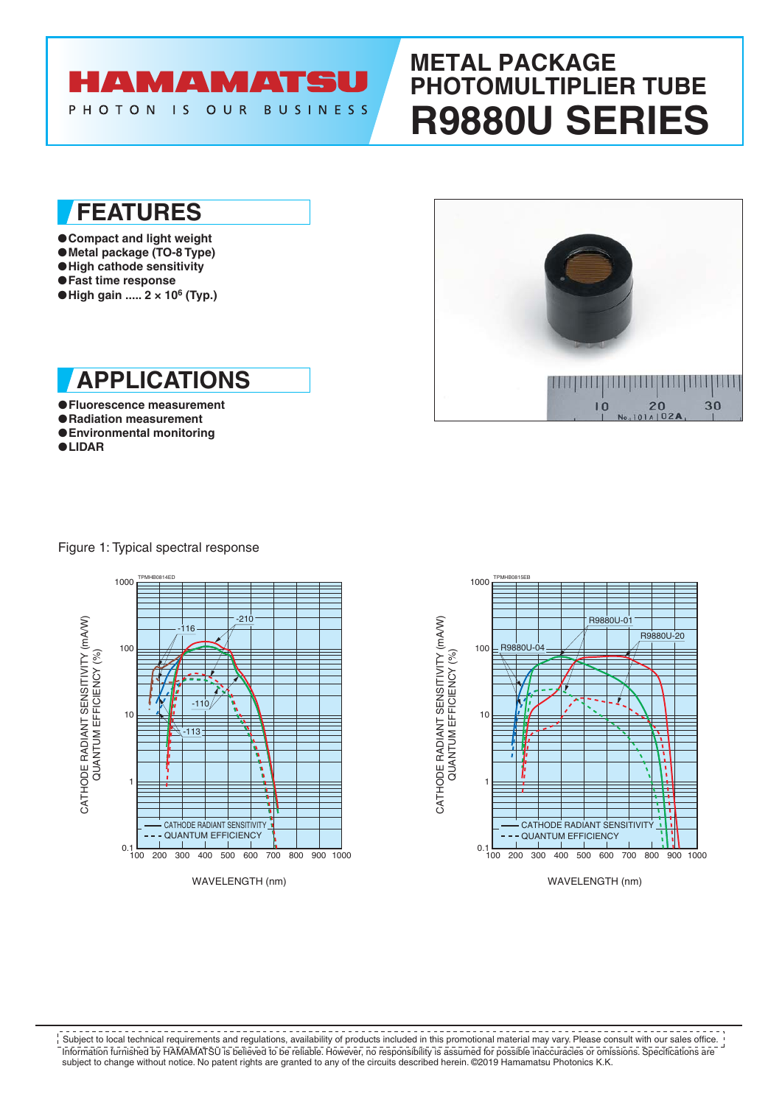

# **METAL PACKAGE PHOTOMULTIPLIER TUBE R9880U SERIES**

## **FEATURES**

●**Compact and light weight** ●**Metal package (TO-8 Type)** ●**High cathode sensitivity** ●**Fast time response** ●**High gain ..... 2 × 10<sup>6</sup> (Typ.)** 



- ●**Fluorescence measurement**
- ●**Radiation measurement** ●**Environmental monitoring**
- ●**LIDAR**



Figure 1: Typical spectral response





WAVELENGTH (nm)

Information furnished by HAMAMATSU is believed to be reliable. However, no responsibility is assumed for possible inaccuracies or omissions. Specifications are subject to change without notice. No patent rights are granted to any of the circuits described herein. ©2019 Hamamatsu Photonics K.K. Subject to local technical requirements and regulations, availability of products included in this promotional material may vary. Please consult with our sales office.

CATHODE RADIANT SENSITIVITY (mA/W)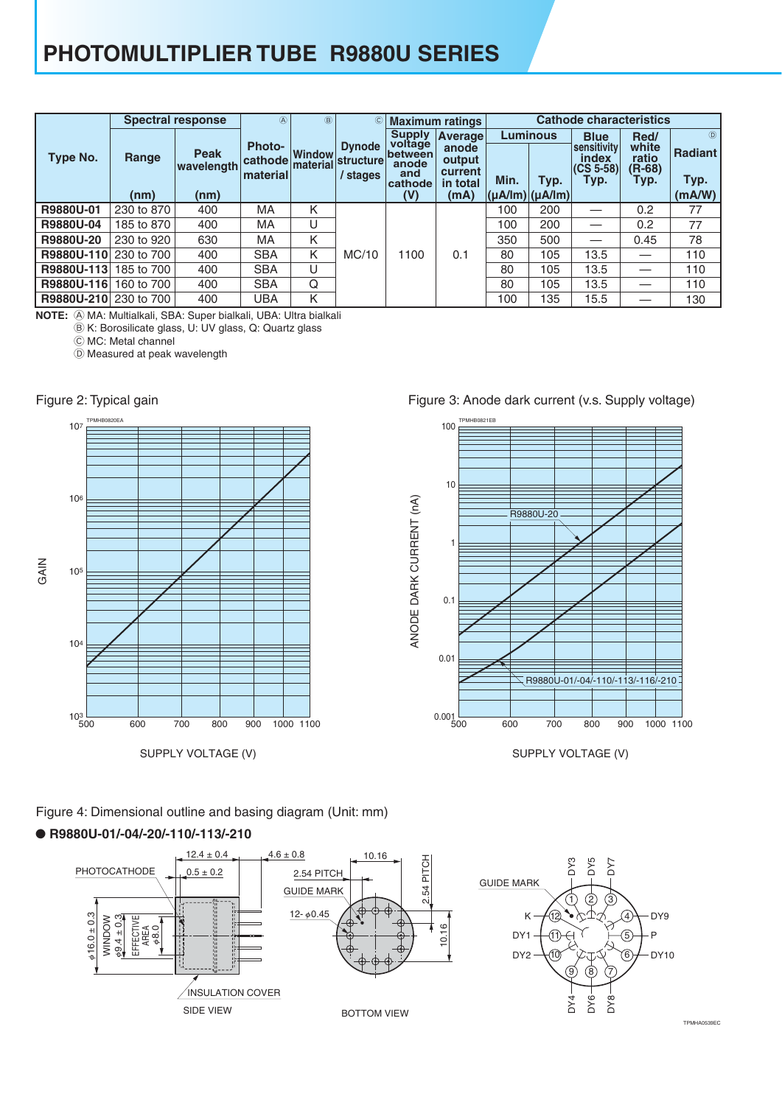## **PHOTOMULTIPLIER TUBE R9880U SERIES**

| <b>Spectral response</b> |            |                           | $\circledA$         | $\circledR$               | $\circled{c}$                                 |                          | <b>Maximum ratings</b> | <b>Cathode characteristics</b>        |      |                                   |                   |                |  |  |  |
|--------------------------|------------|---------------------------|---------------------|---------------------------|-----------------------------------------------|--------------------------|------------------------|---------------------------------------|------|-----------------------------------|-------------------|----------------|--|--|--|
|                          |            |                           | <b>Photo-</b>       |                           | <b>Dynode</b><br><b>structure</b><br>/ stages | <b>Supply</b><br>voltage | Average<br>anode       | <b>Luminous</b>                       |      | <b>Blue</b><br><b>Sensitivity</b> | Red/<br>white     | $\circledR$    |  |  |  |
| Type No.                 | Range      | <b>Peak</b><br>wavelength | cathode<br>material | <b>Window</b><br>material |                                               | between<br>anode<br>and  | output<br>current      |                                       |      | index<br>$ CS 5-58 $              | ratio<br>$(R-68)$ | <b>Radiant</b> |  |  |  |
|                          | (nm)       | (nm)                      |                     |                           |                                               | cathode<br>(V)           | in total<br>(mA)       | Min.<br>$ \mu A /  m $ $ \mu A /  m $ | Typ. | Typ.                              | Typ.              | Typ.<br>(mA/W) |  |  |  |
| R9880U-01                | 230 to 870 | 400                       | MA                  | Κ                         |                                               |                          |                        | 100                                   | 200  |                                   | 0.2               | 77             |  |  |  |
| R9880U-04                | 185 to 870 | 400                       | MA                  | U                         |                                               |                          |                        | 100                                   | 200  |                                   | 0.2               | 77             |  |  |  |
| R9880U-20                | 230 to 920 | 630                       | MA                  | Κ                         |                                               |                          |                        | 350                                   | 500  |                                   | 0.45              | 78             |  |  |  |
| R9880U-110               | 230 to 700 | 400                       | <b>SBA</b>          | K                         | MC/10                                         | 1100                     | 0.1                    | 80                                    | 105  | 13.5                              | —                 | 110            |  |  |  |
| R9880U-113               | 185 to 700 | 400                       | <b>SBA</b>          | U                         |                                               |                          |                        | 80                                    | 105  | 13.5                              |                   | 110            |  |  |  |
| R9880U-116               | 160 to 700 | 400                       | <b>SBA</b>          | Q                         |                                               |                          |                        | 80                                    | 105  | 13.5                              |                   | 110            |  |  |  |
| R9880U-210               | 230 to 700 | 400                       | <b>UBA</b>          | Κ                         |                                               |                          |                        | 100                                   | 135  | 15.5                              |                   | 130            |  |  |  |

A MA: Multialkali, SBA: Super bialkali, UBA: Ultra bialkali **NOTE:**

 $\ddot{\textcircled{e}}$  K: Borosilicate glass, U: UV glass, Q: Quartz glass C MC: Metal channel

D Measured at peak wavelength



Figure 3: Anode dark current (v.s. Supply voltage)



SUPPLY VOLTAGE (V)

Figure 4: Dimensional outline and basing diagram (Unit: mm)

#### ● **R9880U-01/-04/-20/-110/-113/-210**

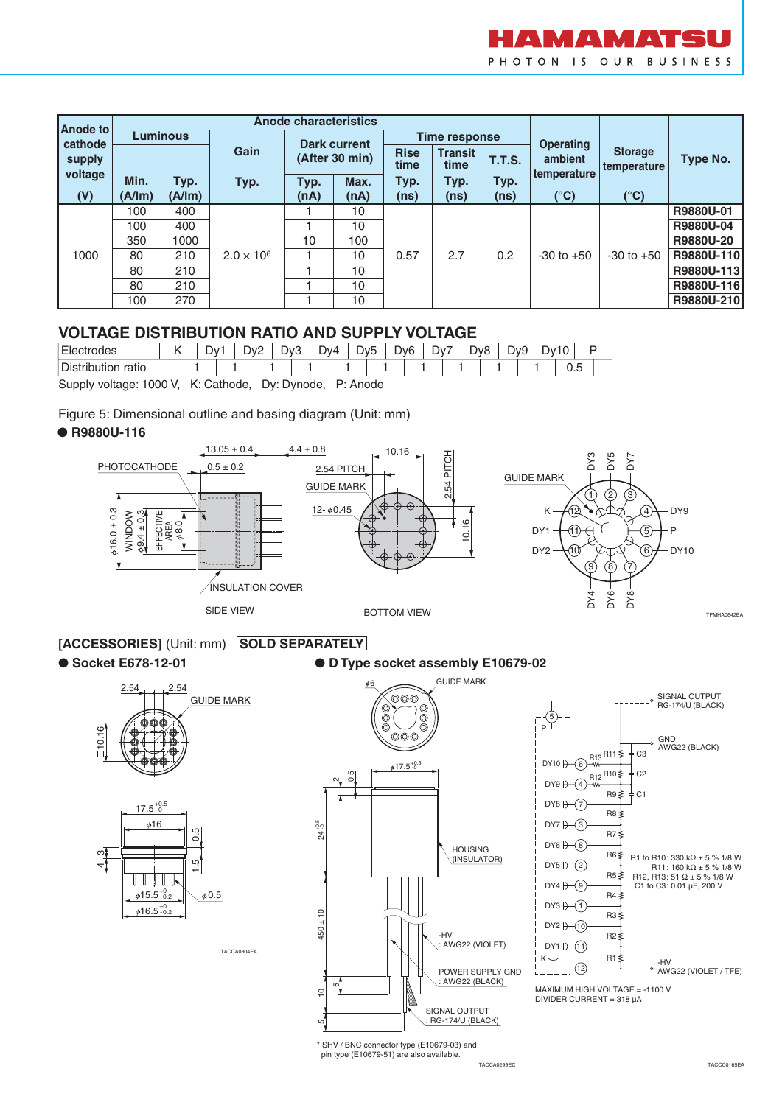

| Anode to |                 |        | <b>Anode characteristics</b> |                |                     |                     |                        |                   |                  |                               |            |  |  |
|----------|-----------------|--------|------------------------------|----------------|---------------------|---------------------|------------------------|-------------------|------------------|-------------------------------|------------|--|--|
| cathode  | <b>Luminous</b> |        |                              |                | <b>Dark current</b> |                     | Time response          |                   | <b>Operating</b> |                               |            |  |  |
| supply   |                 |        | Gain                         | (After 30 min) |                     | <b>Rise</b><br>time | <b>Transit</b><br>time | <b>T.T.S.</b>     | ambient          | <b>Storage</b><br>temperature | Type No.   |  |  |
| voltage  | Min.            | Typ.   | Typ.                         | Typ.           | Max.                | Typ.                | Typ.                   | Typ.              | temperature      |                               |            |  |  |
| (V)      | (A/Im)          | (A/lm) |                              | (nA)           | (nA)                | (ns)                | (ns)                   | (n <sub>s</sub> ) | $(^{\circ}C)$    | $(^{\circ}C)$                 |            |  |  |
|          | 100             | 400    | $2.0 \times 10^{6}$          |                | 10                  | 0.57                | 2.7                    |                   |                  |                               | R9880U-01  |  |  |
|          | 100             | 400    |                              |                | 10                  |                     |                        |                   |                  |                               | R9880U-04  |  |  |
|          | 350             | 1000   |                              | 10             | 100                 |                     |                        |                   |                  |                               | R9880U-20  |  |  |
| 1000     | 80              | 210    |                              |                | 10                  |                     |                        | 0.2               | $-30$ to $+50$   | $-30$ to $+50$                | R9880U-110 |  |  |
|          | 80              | 210    |                              |                | 10                  |                     |                        |                   |                  |                               | R9880U-113 |  |  |
|          | 80              | 210    |                              |                | 10                  |                     |                        |                   |                  |                               | R9880U-116 |  |  |
|          | 270<br>100      |        | 10                           |                |                     |                     |                        |                   |                  | R9880U-210                    |            |  |  |

#### **VOLTAGE DISTRIBUTION RATIO AND SUPPLY VOLTAGE**

| <b>Electrodes</b>                                        |  | Dv <sub>2</sub><br>Dv1 |  |  | Dv3 |  | Dv4 | Dv5 |  | Dv6 |  | Dv7 |  | Dv8 |  | Dv9 |  | Dv10 |  |  |  |
|----------------------------------------------------------|--|------------------------|--|--|-----|--|-----|-----|--|-----|--|-----|--|-----|--|-----|--|------|--|--|--|
| Distribution ratio                                       |  |                        |  |  |     |  |     |     |  |     |  |     |  |     |  |     |  |      |  |  |  |
| Supply voltage: 1000 V, K: Cathode, Dy: Dynode, P: Anode |  |                        |  |  |     |  |     |     |  |     |  |     |  |     |  |     |  |      |  |  |  |

Figure 5: Dimensional outline and basing diagram (Unit: mm)

#### ● **R9880U-116**



**[ACCESSORIES]** (Unit: mm) SOLD SEPARATELY

TACCA0304EA

● Socket E678-12-01 ● **D Type socket assembly E10679-02** 

.<br>ה

# 2.54 2.54 GUIDE MARK







MAXIMUM HIGH VOLTAGE = -1100 V DIVIDER CURRENT = 318 µA

\* SHV / BNC connector type (E10679-03) and pin type (E10679-51) are also available.

TACCA0299EC TACCC0165EA